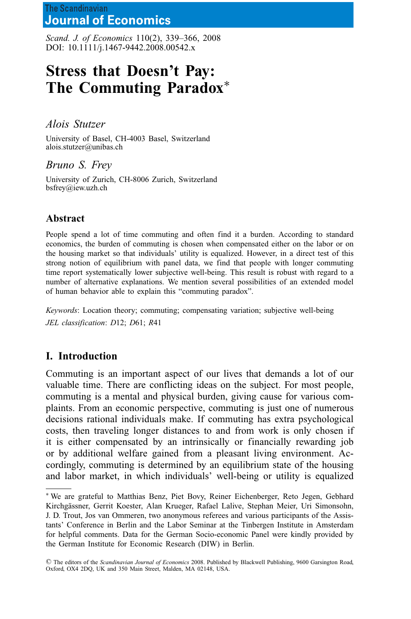## The Scandinavian **Journal of Economics**

*Scand. J. of Economics* 110(2), 339–366, 2008 DOI: 10.1111/j.1467-9442.2008.00542.x

# **Stress that Doesn't Pay: The Commuting Paradox**<sup>∗</sup>

## *Alois Stutzer*

University of Basel, CH-4003 Basel, Switzerland alois.stutzer@unibas.ch

*Bruno S. Frey*

University of Zurich, CH-8006 Zurich, Switzerland bsfrey@iew.uzh.ch

# **Abstract**

People spend a lot of time commuting and often find it a burden. According to standard economics, the burden of commuting is chosen when compensated either on the labor or on the housing market so that individuals' utility is equalized. However, in a direct test of this strong notion of equilibrium with panel data, we find that people with longer commuting time report systematically lower subjective well-being. This result is robust with regard to a number of alternative explanations. We mention several possibilities of an extended model of human behavior able to explain this "commuting paradox".

*Keywords*: Location theory; commuting; compensating variation; subjective well-being *JEL classification*: *D*12; *D*61; *R*41

# **I. Introduction**

Commuting is an important aspect of our lives that demands a lot of our valuable time. There are conflicting ideas on the subject. For most people, commuting is a mental and physical burden, giving cause for various complaints. From an economic perspective, commuting is just one of numerous decisions rational individuals make. If commuting has extra psychological costs, then traveling longer distances to and from work is only chosen if it is either compensated by an intrinsically or financially rewarding job or by additional welfare gained from a pleasant living environment. Accordingly, commuting is determined by an equilibrium state of the housing and labor market, in which individuals' well-being or utility is equalized

<sup>∗</sup> We are grateful to Matthias Benz, Piet Bovy, Reiner Eichenberger, Reto Jegen, Gebhard Kirchgässner, Gerrit Koester, Alan Krueger, Rafael Lalive, Stephan Meier, Uri Simonsohn, J. D. Trout, Jos van Ommeren, two anonymous referees and various participants of the Assistants' Conference in Berlin and the Labor Seminar at the Tinbergen Institute in Amsterdam for helpful comments. Data for the German Socio-economic Panel were kindly provided by the German Institute for Economic Research (DIW) in Berlin.

<sup>C</sup> The editors of the *Scandinavian Journal of Economics* 2008. Published by Blackwell Publishing, 9600 Garsington Road, Oxford, OX4 2DQ, UK and 350 Main Street, Malden, MA 02148, USA.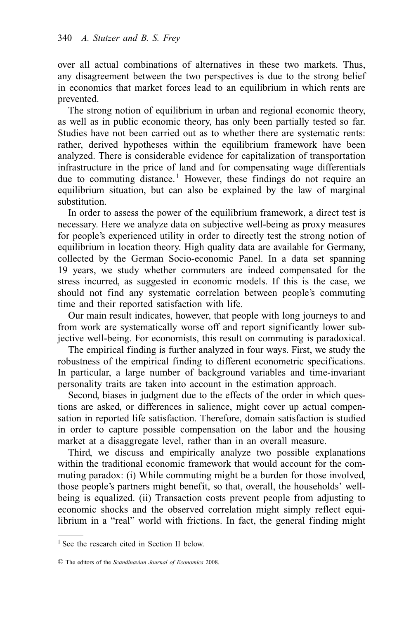over all actual combinations of alternatives in these two markets. Thus, any disagreement between the two perspectives is due to the strong belief in economics that market forces lead to an equilibrium in which rents are prevented.

The strong notion of equilibrium in urban and regional economic theory, as well as in public economic theory, has only been partially tested so far. Studies have not been carried out as to whether there are systematic rents: rather, derived hypotheses within the equilibrium framework have been analyzed. There is considerable evidence for capitalization of transportation infrastructure in the price of land and for compensating wage differentials due to commuting distance.<sup>1</sup> However, these findings do not require an equilibrium situation, but can also be explained by the law of marginal substitution.

In order to assess the power of the equilibrium framework, a direct test is necessary. Here we analyze data on subjective well-being as proxy measures for people's experienced utility in order to directly test the strong notion of equilibrium in location theory. High quality data are available for Germany, collected by the German Socio-economic Panel. In a data set spanning 19 years, we study whether commuters are indeed compensated for the stress incurred, as suggested in economic models. If this is the case, we should not find any systematic correlation between people's commuting time and their reported satisfaction with life.

Our main result indicates, however, that people with long journeys to and from work are systematically worse off and report significantly lower subjective well-being. For economists, this result on commuting is paradoxical.

The empirical finding is further analyzed in four ways. First, we study the robustness of the empirical finding to different econometric specifications. In particular, a large number of background variables and time-invariant personality traits are taken into account in the estimation approach.

Second, biases in judgment due to the effects of the order in which questions are asked, or differences in salience, might cover up actual compensation in reported life satisfaction. Therefore, domain satisfaction is studied in order to capture possible compensation on the labor and the housing market at a disaggregate level, rather than in an overall measure.

Third, we discuss and empirically analyze two possible explanations within the traditional economic framework that would account for the commuting paradox: (i) While commuting might be a burden for those involved, those people's partners might benefit, so that, overall, the households' wellbeing is equalized. (ii) Transaction costs prevent people from adjusting to economic shocks and the observed correlation might simply reflect equilibrium in a "real" world with frictions. In fact, the general finding might

 $<sup>1</sup>$  See the research cited in Section II below.</sup>

<sup>C</sup> The editors of the *Scandinavian Journal of Economics* 2008.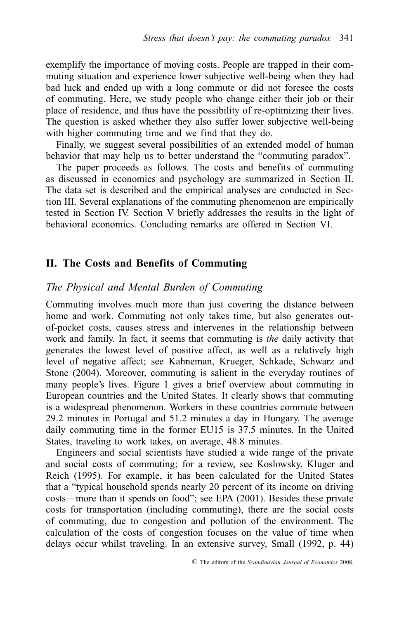exemplify the importance of moving costs. People are trapped in their commuting situation and experience lower subjective well-being when they had bad luck and ended up with a long commute or did not foresee the costs of commuting. Here, we study people who change either their job or their place of residence, and thus have the possibility of re-optimizing their lives. The question is asked whether they also suffer lower subjective well-being with higher commuting time and we find that they do.

Finally, we suggest several possibilities of an extended model of human behavior that may help us to better understand the "commuting paradox".

The paper proceeds as follows. The costs and benefits of commuting as discussed in economics and psychology are summarized in Section II. The data set is described and the empirical analyses are conducted in Section III. Several explanations of the commuting phenomenon are empirically tested in Section IV. Section V briefly addresses the results in the light of behavioral economics. Concluding remarks are offered in Section VI.

## **II. The Costs and Benefits of Commuting**

## *The Physical and Mental Burden of Commuting*

Commuting involves much more than just covering the distance between home and work. Commuting not only takes time, but also generates outof-pocket costs, causes stress and intervenes in the relationship between work and family. In fact, it seems that commuting is *the* daily activity that generates the lowest level of positive affect, as well as a relatively high level of negative affect; see Kahneman, Krueger, Schkade, Schwarz and Stone (2004). Moreover, commuting is salient in the everyday routines of many people's lives. Figure 1 gives a brief overview about commuting in European countries and the United States. It clearly shows that commuting is a widespread phenomenon. Workers in these countries commute between 29.2 minutes in Portugal and 51.2 minutes a day in Hungary. The average daily commuting time in the former EU15 is 37.5 minutes. In the United States, traveling to work takes, on average, 48.8 minutes.

Engineers and social scientists have studied a wide range of the private and social costs of commuting; for a review, see Koslowsky, Kluger and Reich (1995). For example, it has been calculated for the United States that a "typical household spends nearly 20 percent of its income on driving costs—more than it spends on food"; see EPA (2001). Besides these private costs for transportation (including commuting), there are the social costs of commuting, due to congestion and pollution of the environment. The calculation of the costs of congestion focuses on the value of time when delays occur whilst traveling. In an extensive survey, Small (1992, p. 44)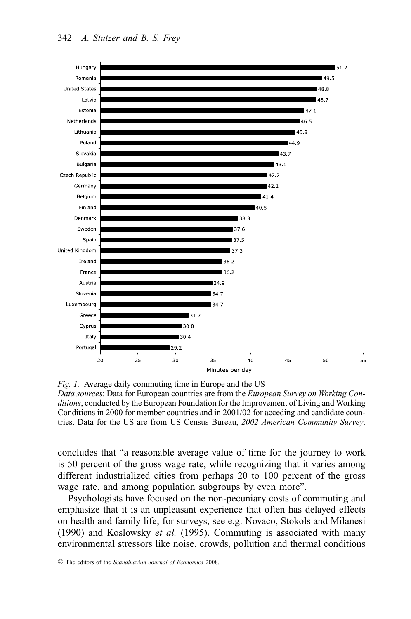

*Fig. 1.* Average daily commuting time in Europe and the US *Data sources*: Data for European countries are from the *European Survey on Working Conditions*, conducted by the European Foundation for the Improvement of Living and Working Conditions in 2000 for member countries and in 2001/02 for acceding and candidate countries. Data for the US are from US Census Bureau, *2002 American Community Survey*.

concludes that "a reasonable average value of time for the journey to work is 50 percent of the gross wage rate, while recognizing that it varies among different industrialized cities from perhaps 20 to 100 percent of the gross wage rate, and among population subgroups by even more".

Psychologists have focused on the non-pecuniary costs of commuting and emphasize that it is an unpleasant experience that often has delayed effects on health and family life; for surveys, see e.g. Novaco, Stokols and Milanesi (1990) and Koslowsky *et al.* (1995). Commuting is associated with many environmental stressors like noise, crowds, pollution and thermal conditions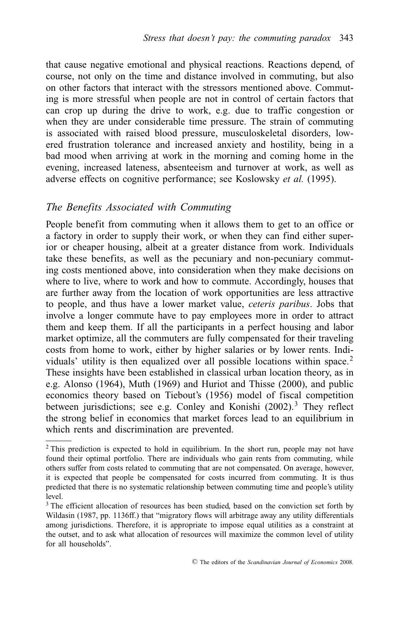that cause negative emotional and physical reactions. Reactions depend, of course, not only on the time and distance involved in commuting, but also on other factors that interact with the stressors mentioned above. Commuting is more stressful when people are not in control of certain factors that can crop up during the drive to work, e.g. due to traffic congestion or when they are under considerable time pressure. The strain of commuting is associated with raised blood pressure, musculoskeletal disorders, lowered frustration tolerance and increased anxiety and hostility, being in a bad mood when arriving at work in the morning and coming home in the evening, increased lateness, absenteeism and turnover at work, as well as adverse effects on cognitive performance; see Koslowsky *et al.* (1995).

#### *The Benefits Associated with Commuting*

People benefit from commuting when it allows them to get to an office or a factory in order to supply their work, or when they can find either superior or cheaper housing, albeit at a greater distance from work. Individuals take these benefits, as well as the pecuniary and non-pecuniary commuting costs mentioned above, into consideration when they make decisions on where to live, where to work and how to commute. Accordingly, houses that are further away from the location of work opportunities are less attractive to people, and thus have a lower market value, *ceteris paribus*. Jobs that involve a longer commute have to pay employees more in order to attract them and keep them. If all the participants in a perfect housing and labor market optimize, all the commuters are fully compensated for their traveling costs from home to work, either by higher salaries or by lower rents. Individuals' utility is then equalized over all possible locations within space.<sup>2</sup> These insights have been established in classical urban location theory, as in e.g. Alonso (1964), Muth (1969) and Huriot and Thisse (2000), and public economics theory based on Tiebout's (1956) model of fiscal competition between jurisdictions; see e.g. Conley and Konishi  $(2002)$ .<sup>3</sup> They reflect the strong belief in economics that market forces lead to an equilibrium in which rents and discrimination are prevented.

<sup>2</sup> This prediction is expected to hold in equilibrium. In the short run, people may not have found their optimal portfolio. There are individuals who gain rents from commuting, while others suffer from costs related to commuting that are not compensated. On average, however, it is expected that people be compensated for costs incurred from commuting. It is thus predicted that there is no systematic relationship between commuting time and people's utility level.

<sup>&</sup>lt;sup>3</sup> The efficient allocation of resources has been studied, based on the conviction set forth by Wildasin (1987, pp. 1136ff.) that "migratory flows will arbitrage away any utility differentials among jurisdictions. Therefore, it is appropriate to impose equal utilities as a constraint at the outset, and to ask what allocation of resources will maximize the common level of utility for all households".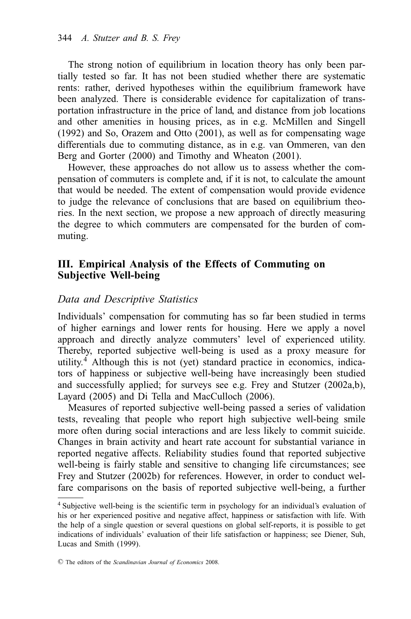The strong notion of equilibrium in location theory has only been partially tested so far. It has not been studied whether there are systematic rents: rather, derived hypotheses within the equilibrium framework have been analyzed. There is considerable evidence for capitalization of transportation infrastructure in the price of land, and distance from job locations and other amenities in housing prices, as in e.g. McMillen and Singell (1992) and So, Orazem and Otto (2001), as well as for compensating wage differentials due to commuting distance, as in e.g. van Ommeren, van den Berg and Gorter (2000) and Timothy and Wheaton (2001).

However, these approaches do not allow us to assess whether the compensation of commuters is complete and, if it is not, to calculate the amount that would be needed. The extent of compensation would provide evidence to judge the relevance of conclusions that are based on equilibrium theories. In the next section, we propose a new approach of directly measuring the degree to which commuters are compensated for the burden of commuting.

## **III. Empirical Analysis of the Effects of Commuting on Subjective Well-being**

### *Data and Descriptive Statistics*

Individuals' compensation for commuting has so far been studied in terms of higher earnings and lower rents for housing. Here we apply a novel approach and directly analyze commuters' level of experienced utility. Thereby, reported subjective well-being is used as a proxy measure for utility.<sup>4</sup> Although this is not (yet) standard practice in economics, indicators of happiness or subjective well-being have increasingly been studied and successfully applied; for surveys see e.g. Frey and Stutzer (2002a,b), Layard (2005) and Di Tella and MacCulloch (2006).

Measures of reported subjective well-being passed a series of validation tests, revealing that people who report high subjective well-being smile more often during social interactions and are less likely to commit suicide. Changes in brain activity and heart rate account for substantial variance in reported negative affects. Reliability studies found that reported subjective well-being is fairly stable and sensitive to changing life circumstances; see Frey and Stutzer (2002b) for references. However, in order to conduct welfare comparisons on the basis of reported subjective well-being, a further

<sup>4</sup> Subjective well-being is the scientific term in psychology for an individual's evaluation of his or her experienced positive and negative affect, happiness or satisfaction with life. With the help of a single question or several questions on global self-reports, it is possible to get indications of individuals' evaluation of their life satisfaction or happiness; see Diener, Suh, Lucas and Smith (1999).

<sup>C</sup> The editors of the *Scandinavian Journal of Economics* 2008.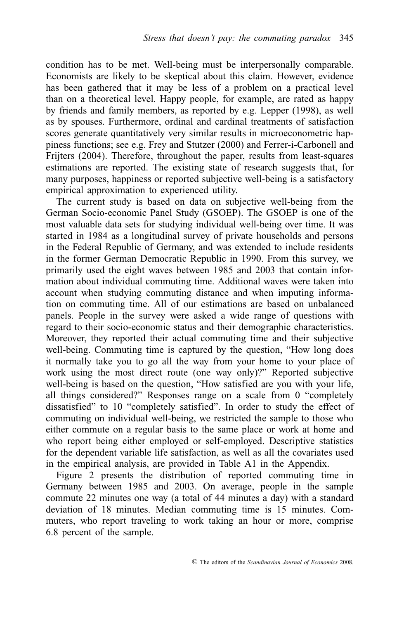condition has to be met. Well-being must be interpersonally comparable. Economists are likely to be skeptical about this claim. However, evidence has been gathered that it may be less of a problem on a practical level than on a theoretical level. Happy people, for example, are rated as happy by friends and family members, as reported by e.g. Lepper (1998), as well as by spouses. Furthermore, ordinal and cardinal treatments of satisfaction scores generate quantitatively very similar results in microeconometric happiness functions; see e.g. Frey and Stutzer (2000) and Ferrer-i-Carbonell and Frijters (2004). Therefore, throughout the paper, results from least-squares estimations are reported. The existing state of research suggests that, for many purposes, happiness or reported subjective well-being is a satisfactory empirical approximation to experienced utility.

The current study is based on data on subjective well-being from the German Socio-economic Panel Study (GSOEP). The GSOEP is one of the most valuable data sets for studying individual well-being over time. It was started in 1984 as a longitudinal survey of private households and persons in the Federal Republic of Germany, and was extended to include residents in the former German Democratic Republic in 1990. From this survey, we primarily used the eight waves between 1985 and 2003 that contain information about individual commuting time. Additional waves were taken into account when studying commuting distance and when imputing information on commuting time. All of our estimations are based on unbalanced panels. People in the survey were asked a wide range of questions with regard to their socio-economic status and their demographic characteristics. Moreover, they reported their actual commuting time and their subjective well-being. Commuting time is captured by the question, "How long does it normally take you to go all the way from your home to your place of work using the most direct route (one way only)?" Reported subjective well-being is based on the question, "How satisfied are you with your life, all things considered?" Responses range on a scale from 0 "completely dissatisfied" to 10 "completely satisfied". In order to study the effect of commuting on individual well-being, we restricted the sample to those who either commute on a regular basis to the same place or work at home and who report being either employed or self-employed. Descriptive statistics for the dependent variable life satisfaction, as well as all the covariates used in the empirical analysis, are provided in Table A1 in the Appendix.

Figure 2 presents the distribution of reported commuting time in Germany between 1985 and 2003. On average, people in the sample commute 22 minutes one way (a total of 44 minutes a day) with a standard deviation of 18 minutes. Median commuting time is 15 minutes. Commuters, who report traveling to work taking an hour or more, comprise 6.8 percent of the sample.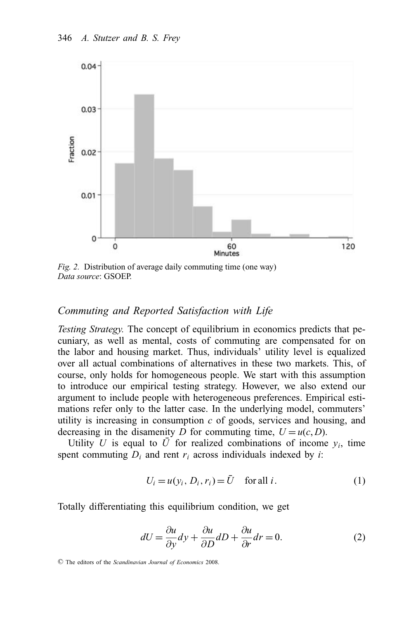

*Fig. 2.* Distribution of average daily commuting time (one way) *Data source*: GSOEP.

## *Commuting and Reported Satisfaction with Life*

*Testing Strategy.* The concept of equilibrium in economics predicts that pecuniary, as well as mental, costs of commuting are compensated for on the labor and housing market. Thus, individuals' utility level is equalized over all actual combinations of alternatives in these two markets. This, of course, only holds for homogeneous people. We start with this assumption to introduce our empirical testing strategy. However, we also extend our argument to include people with heterogeneous preferences. Empirical estimations refer only to the latter case. In the underlying model, commuters' utility is increasing in consumption *c* of goods, services and housing, and decreasing in the disamenity *D* for commuting time,  $U = u(c, D)$ .

Utility *U* is equal to  $\bar{U}$  for realized combinations of income  $y_i$ , time spent commuting  $D_i$  and rent  $r_i$  across individuals indexed by *i*:

$$
U_i = u(y_i, D_i, r_i) = \bar{U} \quad \text{for all } i. \tag{1}
$$

Totally differentiating this equilibrium condition, we get

$$
dU = \frac{\partial u}{\partial y} dy + \frac{\partial u}{\partial D} dD + \frac{\partial u}{\partial r} dr = 0.
$$
 (2)

<sup>C</sup> The editors of the *Scandinavian Journal of Economics* 2008.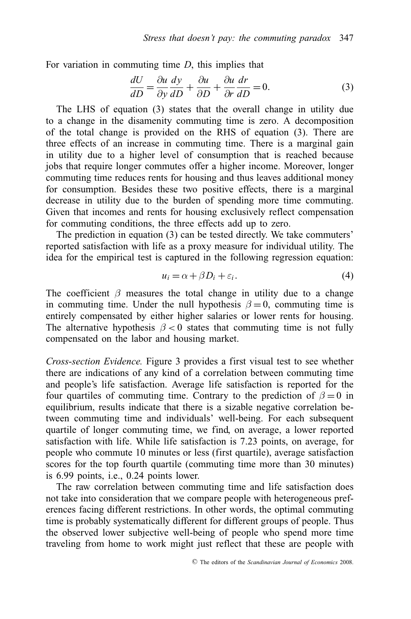For variation in commuting time *D*, this implies that

$$
\frac{dU}{dD} = \frac{\partial u}{\partial y}\frac{dy}{dD} + \frac{\partial u}{\partial D} + \frac{\partial u}{\partial r}\frac{dr}{dD} = 0.
$$
 (3)

The LHS of equation (3) states that the overall change in utility due to a change in the disamenity commuting time is zero. A decomposition of the total change is provided on the RHS of equation (3). There are three effects of an increase in commuting time. There is a marginal gain in utility due to a higher level of consumption that is reached because jobs that require longer commutes offer a higher income. Moreover, longer commuting time reduces rents for housing and thus leaves additional money for consumption. Besides these two positive effects, there is a marginal decrease in utility due to the burden of spending more time commuting. Given that incomes and rents for housing exclusively reflect compensation for commuting conditions, the three effects add up to zero.

The prediction in equation (3) can be tested directly. We take commuters' reported satisfaction with life as a proxy measure for individual utility. The idea for the empirical test is captured in the following regression equation:

$$
u_i = \alpha + \beta D_i + \varepsilon_i. \tag{4}
$$

The coefficient  $\beta$  measures the total change in utility due to a change in commuting time. Under the null hypothesis  $\beta = 0$ , commuting time is entirely compensated by either higher salaries or lower rents for housing. The alternative hypothesis  $\beta < 0$  states that commuting time is not fully compensated on the labor and housing market.

*Cross-section Evidence.* Figure 3 provides a first visual test to see whether there are indications of any kind of a correlation between commuting time and people's life satisfaction. Average life satisfaction is reported for the four quartiles of commuting time. Contrary to the prediction of  $\beta = 0$  in equilibrium, results indicate that there is a sizable negative correlation between commuting time and individuals' well-being. For each subsequent quartile of longer commuting time, we find, on average, a lower reported satisfaction with life. While life satisfaction is 7.23 points, on average, for people who commute 10 minutes or less (first quartile), average satisfaction scores for the top fourth quartile (commuting time more than 30 minutes) is 6.99 points, i.e., 0.24 points lower.

The raw correlation between commuting time and life satisfaction does not take into consideration that we compare people with heterogeneous preferences facing different restrictions. In other words, the optimal commuting time is probably systematically different for different groups of people. Thus the observed lower subjective well-being of people who spend more time traveling from home to work might just reflect that these are people with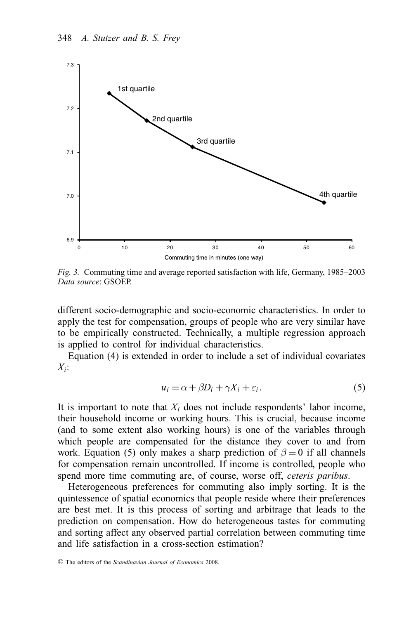

*Fig. 3.* Commuting time and average reported satisfaction with life, Germany, 1985–2003 *Data source*: GSOEP.

different socio-demographic and socio-economic characteristics. In order to apply the test for compensation, groups of people who are very similar have to be empirically constructed. Technically, a multiple regression approach is applied to control for individual characteristics.

Equation (4) is extended in order to include a set of individual covariates *Xi*:

$$
u_i = \alpha + \beta D_i + \gamma X_i + \varepsilon_i. \tag{5}
$$

It is important to note that  $X_i$  does not include respondents' labor income, their household income or working hours. This is crucial, because income (and to some extent also working hours) is one of the variables through which people are compensated for the distance they cover to and from work. Equation (5) only makes a sharp prediction of  $\beta = 0$  if all channels for compensation remain uncontrolled. If income is controlled, people who spend more time commuting are, of course, worse off, *ceteris paribus*.

Heterogeneous preferences for commuting also imply sorting. It is the quintessence of spatial economics that people reside where their preferences are best met. It is this process of sorting and arbitrage that leads to the prediction on compensation. How do heterogeneous tastes for commuting and sorting affect any observed partial correlation between commuting time and life satisfaction in a cross-section estimation?

<sup>C</sup> The editors of the *Scandinavian Journal of Economics* 2008.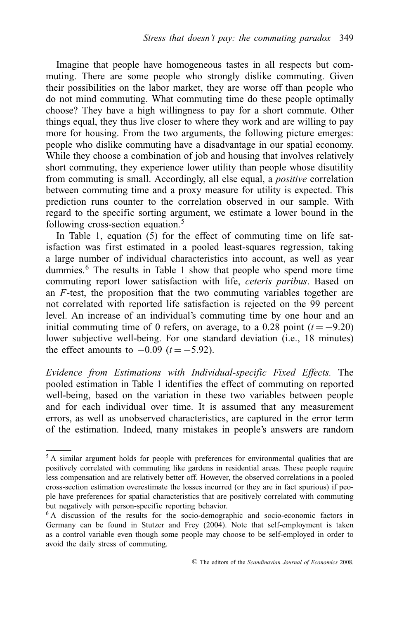Imagine that people have homogeneous tastes in all respects but commuting. There are some people who strongly dislike commuting. Given their possibilities on the labor market, they are worse off than people who do not mind commuting. What commuting time do these people optimally choose? They have a high willingness to pay for a short commute. Other things equal, they thus live closer to where they work and are willing to pay more for housing. From the two arguments, the following picture emerges: people who dislike commuting have a disadvantage in our spatial economy. While they choose a combination of job and housing that involves relatively short commuting, they experience lower utility than people whose disutility from commuting is small. Accordingly, all else equal, a *positive* correlation between commuting time and a proxy measure for utility is expected. This prediction runs counter to the correlation observed in our sample. With regard to the specific sorting argument, we estimate a lower bound in the following cross-section equation.<sup>5</sup>

In Table 1, equation (5) for the effect of commuting time on life satisfaction was first estimated in a pooled least-squares regression, taking a large number of individual characteristics into account, as well as year dummies.<sup>6</sup> The results in Table 1 show that people who spend more time commuting report lower satisfaction with life, *ceteris paribus*. Based on an *F*-test, the proposition that the two commuting variables together are not correlated with reported life satisfaction is rejected on the 99 percent level. An increase of an individual's commuting time by one hour and an initial commuting time of 0 refers, on average, to a 0.28 point  $(t = -9.20)$ lower subjective well-being. For one standard deviation (i.e., 18 minutes) the effect amounts to  $-0.09$  ( $t = -5.92$ ).

*Evidence from Estimations with Individual-specific Fixed Effects.* The pooled estimation in Table 1 identifies the effect of commuting on reported well-being, based on the variation in these two variables between people and for each individual over time. It is assumed that any measurement errors, as well as unobserved characteristics, are captured in the error term of the estimation. Indeed, many mistakes in people's answers are random

 $5$  A similar argument holds for people with preferences for environmental qualities that are positively correlated with commuting like gardens in residential areas. These people require less compensation and are relatively better off. However, the observed correlations in a pooled cross-section estimation overestimate the losses incurred (or they are in fact spurious) if people have preferences for spatial characteristics that are positively correlated with commuting but negatively with person-specific reporting behavior.

<sup>&</sup>lt;sup>6</sup> A discussion of the results for the socio-demographic and socio-economic factors in Germany can be found in Stutzer and Frey (2004). Note that self-employment is taken as a control variable even though some people may choose to be self-employed in order to avoid the daily stress of commuting.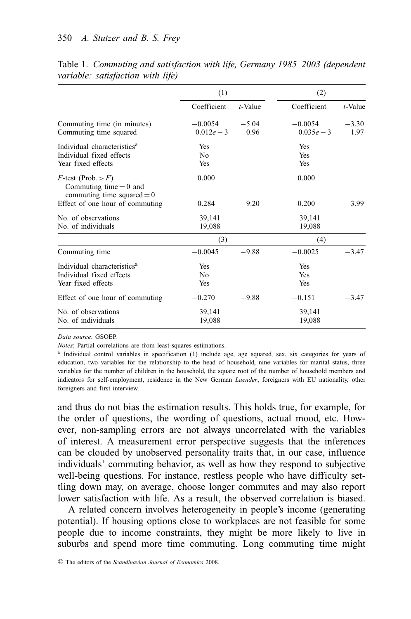|                                                                                      | (1)            |            | (2)         |            |  |
|--------------------------------------------------------------------------------------|----------------|------------|-------------|------------|--|
|                                                                                      | Coefficient    | $t$ -Value | Coefficient | $t$ -Value |  |
| Commuting time (in minutes)                                                          | $-0.0054$      | $-5.04$    | $-0.0054$   | $-3.30$    |  |
| Commuting time squared                                                               | $0.012e-3$     | 0.96       | $0.035e-3$  | 1.97       |  |
| Individual characteristics <sup>a</sup>                                              | Yes            |            | Yes         |            |  |
| Individual fixed effects                                                             | N <sub>0</sub> |            | Yes         |            |  |
| Year fixed effects                                                                   | Yes            |            | Yes         |            |  |
| $F$ -test (Prob. > $F$ )<br>Commuting time $= 0$ and<br>commuting time squared $= 0$ | 0.000          |            | 0.000       |            |  |
| Effect of one hour of commuting                                                      | $-0.284$       | $-9.20$    | $-0.200$    | $-3.99$    |  |
| No. of observations                                                                  | 39,141         |            | 39,141      |            |  |
| No. of individuals                                                                   | 19,088         |            | 19,088      |            |  |
|                                                                                      | (3)            |            | (4)         |            |  |
| Commuting time                                                                       | $-0.0045$      | $-9.88$    | $-0.0025$   | $-3.47$    |  |
| Individual characteristics <sup>a</sup>                                              | Yes            |            | Yes         |            |  |
| Individual fixed effects                                                             | N <sub>0</sub> |            | Yes         |            |  |
| Year fixed effects                                                                   | Yes            |            | Yes         |            |  |
| Effect of one hour of commuting                                                      | $-0.270$       | $-9.88$    | $-0.151$    | $-3.47$    |  |
| No. of observations                                                                  | 39,141         |            | 39,141      |            |  |
| No. of individuals                                                                   | 19,088         |            | 19,088      |            |  |
|                                                                                      |                |            |             |            |  |

Table 1. *Commuting and satisfaction with life, Germany 1985–2003 (dependent variable: satisfaction with life)*

*Data source*: GSOEP.

*Notes*: Partial correlations are from least-squares estimations.

<sup>a</sup> Individual control variables in specification (1) include age, age squared, sex, six categories for years of education, two variables for the relationship to the head of household, nine variables for marital status, three variables for the number of children in the household, the square root of the number of household members and indicators for self-employment, residence in the New German *Laender*, foreigners with EU nationality, other foreigners and first interview.

and thus do not bias the estimation results. This holds true, for example, for the order of questions, the wording of questions, actual mood, etc. However, non-sampling errors are not always uncorrelated with the variables of interest. A measurement error perspective suggests that the inferences can be clouded by unobserved personality traits that, in our case, influence individuals' commuting behavior, as well as how they respond to subjective well-being questions. For instance, restless people who have difficulty settling down may, on average, choose longer commutes and may also report lower satisfaction with life. As a result, the observed correlation is biased.

A related concern involves heterogeneity in people's income (generating potential). If housing options close to workplaces are not feasible for some people due to income constraints, they might be more likely to live in suburbs and spend more time commuting. Long commuting time might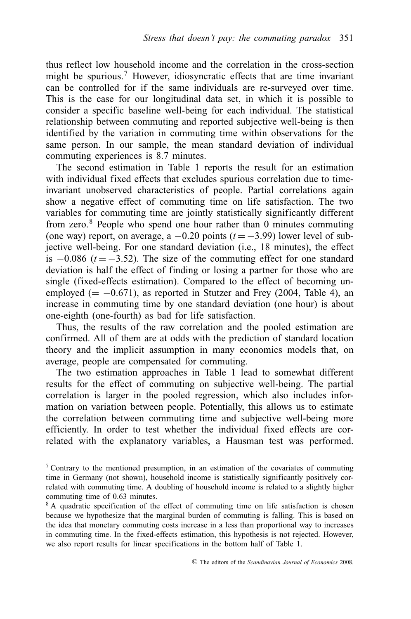thus reflect low household income and the correlation in the cross-section might be spurious.<sup>7</sup> However, idiosyncratic effects that are time invariant can be controlled for if the same individuals are re-surveyed over time. This is the case for our longitudinal data set, in which it is possible to consider a specific baseline well-being for each individual. The statistical relationship between commuting and reported subjective well-being is then identified by the variation in commuting time within observations for the same person. In our sample, the mean standard deviation of individual commuting experiences is 8.7 minutes.

The second estimation in Table 1 reports the result for an estimation with individual fixed effects that excludes spurious correlation due to timeinvariant unobserved characteristics of people. Partial correlations again show a negative effect of commuting time on life satisfaction. The two variables for commuting time are jointly statistically significantly different from zero. $8$  People who spend one hour rather than 0 minutes commuting (one way) report, on average, a  $-0.20$  points ( $t = -3.99$ ) lower level of subjective well-being. For one standard deviation (i.e., 18 minutes), the effect is  $-0.086$  ( $t = -3.52$ ). The size of the commuting effect for one standard deviation is half the effect of finding or losing a partner for those who are single (fixed-effects estimation). Compared to the effect of becoming unemployed ( $= -0.671$ ), as reported in Stutzer and Frey (2004, Table 4), an increase in commuting time by one standard deviation (one hour) is about one-eighth (one-fourth) as bad for life satisfaction.

Thus, the results of the raw correlation and the pooled estimation are confirmed. All of them are at odds with the prediction of standard location theory and the implicit assumption in many economics models that, on average, people are compensated for commuting.

The two estimation approaches in Table 1 lead to somewhat different results for the effect of commuting on subjective well-being. The partial correlation is larger in the pooled regression, which also includes information on variation between people. Potentially, this allows us to estimate the correlation between commuting time and subjective well-being more efficiently. In order to test whether the individual fixed effects are correlated with the explanatory variables, a Hausman test was performed.

<sup>7</sup> Contrary to the mentioned presumption, in an estimation of the covariates of commuting time in Germany (not shown), household income is statistically significantly positively correlated with commuting time. A doubling of household income is related to a slightly higher commuting time of 0.63 minutes.

<sup>&</sup>lt;sup>8</sup> A quadratic specification of the effect of commuting time on life satisfaction is chosen because we hypothesize that the marginal burden of commuting is falling. This is based on the idea that monetary commuting costs increase in a less than proportional way to increases in commuting time. In the fixed-effects estimation, this hypothesis is not rejected. However, we also report results for linear specifications in the bottom half of Table 1.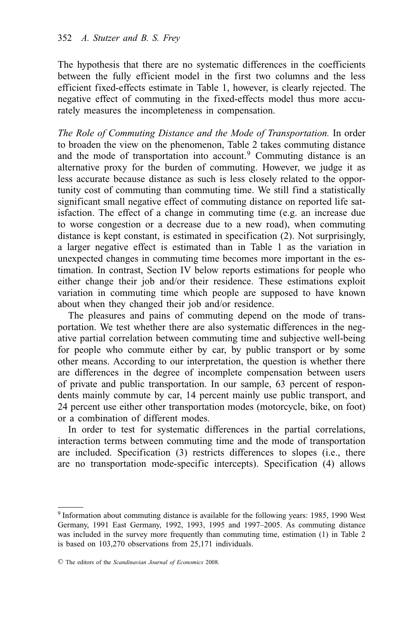The hypothesis that there are no systematic differences in the coefficients between the fully efficient model in the first two columns and the less efficient fixed-effects estimate in Table 1, however, is clearly rejected. The negative effect of commuting in the fixed-effects model thus more accurately measures the incompleteness in compensation.

*The Role of Commuting Distance and the Mode of Transportation.* In order to broaden the view on the phenomenon, Table 2 takes commuting distance and the mode of transportation into account.<sup>9</sup> Commuting distance is an alternative proxy for the burden of commuting. However, we judge it as less accurate because distance as such is less closely related to the opportunity cost of commuting than commuting time. We still find a statistically significant small negative effect of commuting distance on reported life satisfaction. The effect of a change in commuting time (e.g. an increase due to worse congestion or a decrease due to a new road), when commuting distance is kept constant, is estimated in specification (2). Not surprisingly, a larger negative effect is estimated than in Table 1 as the variation in unexpected changes in commuting time becomes more important in the estimation. In contrast, Section IV below reports estimations for people who either change their job and/or their residence. These estimations exploit variation in commuting time which people are supposed to have known about when they changed their job and/or residence.

The pleasures and pains of commuting depend on the mode of transportation. We test whether there are also systematic differences in the negative partial correlation between commuting time and subjective well-being for people who commute either by car, by public transport or by some other means. According to our interpretation, the question is whether there are differences in the degree of incomplete compensation between users of private and public transportation. In our sample, 63 percent of respondents mainly commute by car, 14 percent mainly use public transport, and 24 percent use either other transportation modes (motorcycle, bike, on foot) or a combination of different modes.

In order to test for systematic differences in the partial correlations, interaction terms between commuting time and the mode of transportation are included. Specification (3) restricts differences to slopes (i.e., there are no transportation mode-specific intercepts). Specification (4) allows

<sup>&</sup>lt;sup>9</sup> Information about commuting distance is available for the following years: 1985, 1990 West Germany, 1991 East Germany, 1992, 1993, 1995 and 1997–2005. As commuting distance was included in the survey more frequently than commuting time, estimation (1) in Table 2 is based on 103,270 observations from 25,171 individuals.

<sup>C</sup> The editors of the *Scandinavian Journal of Economics* 2008.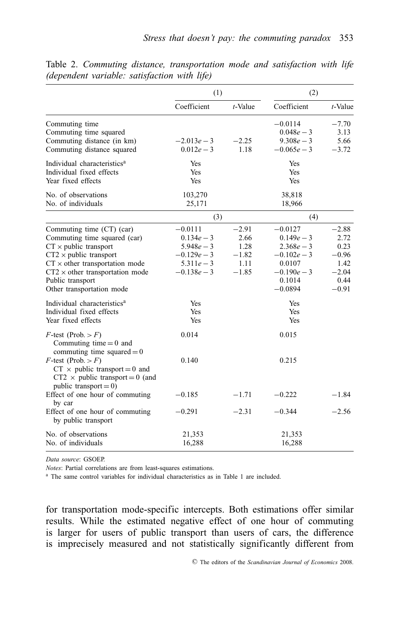|                                                                                                                                                                                                                                                                | (1)                                                                                   |                                                       | (2)                                                                                                      |                                                                          |
|----------------------------------------------------------------------------------------------------------------------------------------------------------------------------------------------------------------------------------------------------------------|---------------------------------------------------------------------------------------|-------------------------------------------------------|----------------------------------------------------------------------------------------------------------|--------------------------------------------------------------------------|
|                                                                                                                                                                                                                                                                | Coefficient                                                                           | t-Value                                               | Coefficient                                                                                              | $t$ -Value                                                               |
| Commuting time<br>Commuting time squared<br>Commuting distance (in km)<br>Commuting distance squared                                                                                                                                                           | $-2.013e-3$<br>$0.012e - 3$                                                           | $-2.25$<br>1.18                                       | $-0.0114$<br>$0.048e - 3$<br>$9.308e - 3$<br>$-0.065e-3$                                                 | $-7.70$<br>3.13<br>5.66<br>$-3.72$                                       |
| Individual characteristics <sup>a</sup><br>Individual fixed effects<br>Year fixed effects                                                                                                                                                                      | Yes<br><b>Yes</b><br>Yes                                                              |                                                       | Yes<br>Yes<br>Yes                                                                                        |                                                                          |
| No. of observations<br>No. of individuals                                                                                                                                                                                                                      | 103,270<br>25,171                                                                     |                                                       | 38,818<br>18,966                                                                                         |                                                                          |
|                                                                                                                                                                                                                                                                | (3)                                                                                   |                                                       | (4)                                                                                                      |                                                                          |
| Commuting time (CT) (car)<br>Commuting time squared (car)<br>$CT \times$ public transport<br>$CT2 \times public transport$<br>$CT \times$ other transportation mode<br>$CT2 \times$ other transportation mode<br>Public transport<br>Other transportation mode | $-0.0111$<br>$0.134e - 3$<br>$5.948e - 3$<br>$-0.129e-3$<br>$5.311e-3$<br>$-0.138e-3$ | $-2.91$<br>2.66<br>1.28<br>$-1.82$<br>1.11<br>$-1.85$ | $-0.0127$<br>$0.149e - 3$<br>$2.368e - 3$<br>$-0.102e-3$<br>0.0107<br>$-0.190e-3$<br>0.1014<br>$-0.0894$ | $-2.88$<br>2.72<br>0.23<br>$-0.96$<br>1.42<br>$-2.04$<br>0.44<br>$-0.91$ |
| Individual characteristics <sup>a</sup><br>Individual fixed effects<br>Year fixed effects                                                                                                                                                                      | Yes<br>Yes<br>Yes                                                                     |                                                       | Yes<br>Yes<br>Yes                                                                                        |                                                                          |
| $F$ -test (Prob. > $F$ )<br>Commuting time $= 0$ and<br>commuting time squared $= 0$<br>$F$ -test (Prob. > $F$ )<br>$CT \times$ public transport = 0 and<br>CT2 $\times$ public transport = 0 (and                                                             | 0.014<br>0.140                                                                        |                                                       | 0.015<br>0.215                                                                                           |                                                                          |
| public transport = $0$ )<br>Effect of one hour of commuting<br>by car<br>Effect of one hour of commuting<br>by public transport                                                                                                                                | $-0.185$<br>$-0.291$                                                                  | $-1.71$<br>$-2.31$                                    | $-0.222$<br>$-0.344$                                                                                     | $-1.84$<br>$-2.56$                                                       |
| No. of observations<br>No. of individuals                                                                                                                                                                                                                      | 21,353<br>16,288                                                                      |                                                       | 21,353<br>16,288                                                                                         |                                                                          |

Table 2. *Commuting distance, transportation mode and satisfaction with life (dependent variable: satisfaction with life)*

*Data source*: GSOEP.

*Notes*: Partial correlations are from least-squares estimations.

<sup>a</sup> The same control variables for individual characteristics as in Table 1 are included.

for transportation mode-specific intercepts. Both estimations offer similar results. While the estimated negative effect of one hour of commuting is larger for users of public transport than users of cars, the difference is imprecisely measured and not statistically significantly different from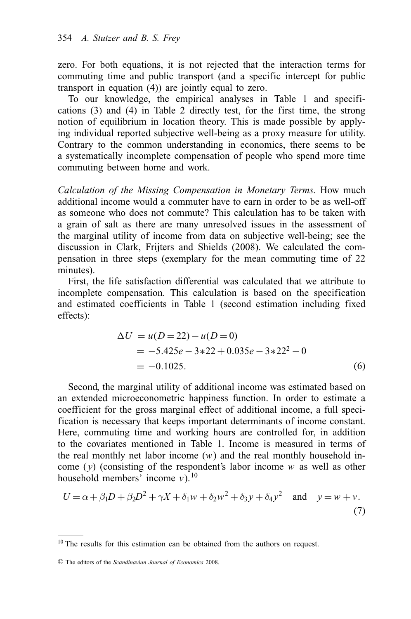zero. For both equations, it is not rejected that the interaction terms for commuting time and public transport (and a specific intercept for public transport in equation (4)) are jointly equal to zero.

To our knowledge, the empirical analyses in Table 1 and specifications (3) and (4) in Table 2 directly test, for the first time, the strong notion of equilibrium in location theory. This is made possible by applying individual reported subjective well-being as a proxy measure for utility. Contrary to the common understanding in economics, there seems to be a systematically incomplete compensation of people who spend more time commuting between home and work.

*Calculation of the Missing Compensation in Monetary Terms.* How much additional income would a commuter have to earn in order to be as well-off as someone who does not commute? This calculation has to be taken with a grain of salt as there are many unresolved issues in the assessment of the marginal utility of income from data on subjective well-being; see the discussion in Clark, Frijters and Shields (2008). We calculated the compensation in three steps (exemplary for the mean commuting time of 22 minutes).

First, the life satisfaction differential was calculated that we attribute to incomplete compensation. This calculation is based on the specification and estimated coefficients in Table 1 (second estimation including fixed effects):

$$
\Delta U = u(D = 22) - u(D = 0)
$$
  
= -5.425e - 3\*22 + 0.035e - 3\*22<sup>2</sup> - 0  
= -0.1025. (6)

Second, the marginal utility of additional income was estimated based on an extended microeconometric happiness function. In order to estimate a coefficient for the gross marginal effect of additional income, a full specification is necessary that keeps important determinants of income constant. Here, commuting time and working hours are controlled for, in addition to the covariates mentioned in Table 1. Income is measured in terms of the real monthly net labor income  $(w)$  and the real monthly household income ( *y*) (consisting of the respondent's labor income *w* as well as other household members' income  $v$ ).<sup>10</sup>

$$
U = \alpha + \beta_1 D + \beta_2 D^2 + \gamma X + \delta_1 w + \delta_2 w^2 + \delta_3 y + \delta_4 y^2 \text{ and } y = w + v. \tag{7}
$$

 $10$  The results for this estimation can be obtained from the authors on request.

<sup>C</sup> The editors of the *Scandinavian Journal of Economics* 2008.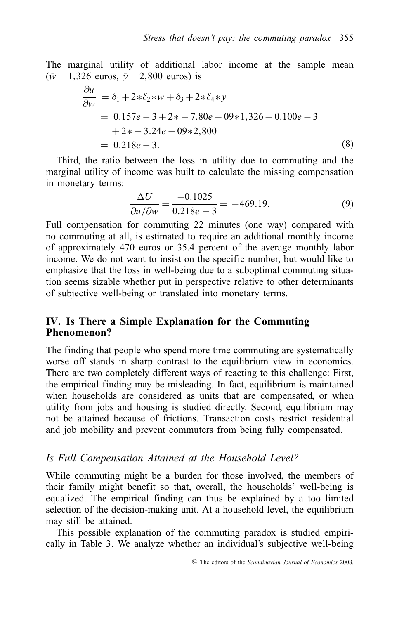The marginal utility of additional labor income at the sample mean  $(\bar{w} = 1,326 \text{ euros}, \bar{v} = 2,800 \text{ euros})$  is

$$
\frac{\partial u}{\partial w} = \delta_1 + 2 * \delta_2 * w + \delta_3 + 2 * \delta_4 * y
$$
  
= 0.157e - 3 + 2\* - 7.80e - 09\*1,326 + 0.100e - 3  
+ 2\* - 3.24e - 09\*2,800  
= 0.218e - 3. (8)

Third, the ratio between the loss in utility due to commuting and the marginal utility of income was built to calculate the missing compensation in monetary terms:

$$
\frac{\Delta U}{\partial u/\partial w} = \frac{-0.1025}{0.218e - 3} = -469.19.
$$
 (9)

Full compensation for commuting 22 minutes (one way) compared with no commuting at all, is estimated to require an additional monthly income of approximately 470 euros or 35.4 percent of the average monthly labor income. We do not want to insist on the specific number, but would like to emphasize that the loss in well-being due to a suboptimal commuting situation seems sizable whether put in perspective relative to other determinants of subjective well-being or translated into monetary terms.

## **IV. Is There a Simple Explanation for the Commuting Phenomenon?**

The finding that people who spend more time commuting are systematically worse off stands in sharp contrast to the equilibrium view in economics. There are two completely different ways of reacting to this challenge: First, the empirical finding may be misleading. In fact, equilibrium is maintained when households are considered as units that are compensated, or when utility from jobs and housing is studied directly. Second, equilibrium may not be attained because of frictions. Transaction costs restrict residential and job mobility and prevent commuters from being fully compensated.

### *Is Full Compensation Attained at the Household Level?*

While commuting might be a burden for those involved, the members of their family might benefit so that, overall, the households' well-being is equalized. The empirical finding can thus be explained by a too limited selection of the decision-making unit. At a household level, the equilibrium may still be attained.

This possible explanation of the commuting paradox is studied empirically in Table 3. We analyze whether an individual's subjective well-being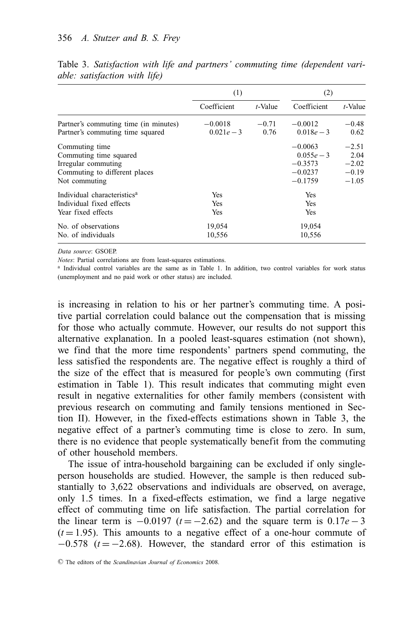|                                         | (1)         |            | (2)          |            |
|-----------------------------------------|-------------|------------|--------------|------------|
|                                         | Coefficient | $t$ -Value | Coefficient  | $t$ -Value |
| Partner's commuting time (in minutes)   | $-0.0018$   | $-0.71$    | $-0.0012$    | $-0.48$    |
| Partner's commuting time squared        | $0.021e-3$  | 0.76       | $0.018e-3$   | 0.62       |
| Commuting time                          |             |            | $-0.0063$    | $-2.51$    |
| Commuting time squared                  |             |            | $0.055e - 3$ | 2.04       |
| Irregular commuting                     |             |            | $-0.3573$    | $-2.02$    |
| Commuting to different places           |             |            | $-0.0237$    | $-0.19$    |
| Not commuting                           |             |            | $-0.1759$    | $-1.05$    |
| Individual characteristics <sup>a</sup> | Yes         |            | Yes          |            |
| Individual fixed effects                | Yes         |            | Yes          |            |
| Year fixed effects                      | Yes         |            | Yes          |            |
| No. of observations                     | 19,054      |            | 19,054       |            |
| No. of individuals                      | 10,556      |            | 10,556       |            |

Table 3. *Satisfaction with life and partners' commuting time (dependent variable: satisfaction with life)*

*Data source*: GSOEP.

*Notes*: Partial correlations are from least-squares estimations.

<sup>a</sup> Individual control variables are the same as in Table 1. In addition, two control variables for work status (unemployment and no paid work or other status) are included.

is increasing in relation to his or her partner's commuting time. A positive partial correlation could balance out the compensation that is missing for those who actually commute. However, our results do not support this alternative explanation. In a pooled least-squares estimation (not shown), we find that the more time respondents' partners spend commuting, the less satisfied the respondents are. The negative effect is roughly a third of the size of the effect that is measured for people's own commuting (first estimation in Table 1). This result indicates that commuting might even result in negative externalities for other family members (consistent with previous research on commuting and family tensions mentioned in Section II). However, in the fixed-effects estimations shown in Table 3, the negative effect of a partner's commuting time is close to zero. In sum, there is no evidence that people systematically benefit from the commuting of other household members.

The issue of intra-household bargaining can be excluded if only singleperson households are studied. However, the sample is then reduced substantially to 3,622 observations and individuals are observed, on average, only 1.5 times. In a fixed-effects estimation, we find a large negative effect of commuting time on life satisfaction. The partial correlation for the linear term is  $-0.0197$  ( $t = -2.62$ ) and the square term is  $0.17e - 3$  $(t=1.95)$ . This amounts to a negative effect of a one-hour commute of  $-0.578$  ( $t = -2.68$ ). However, the standard error of this estimation is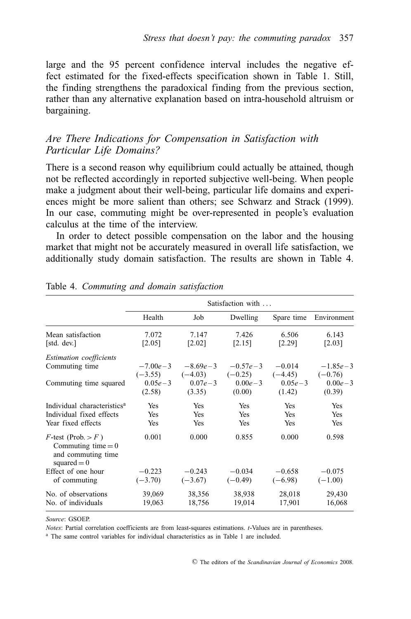large and the 95 percent confidence interval includes the negative effect estimated for the fixed-effects specification shown in Table 1. Still, the finding strengthens the paradoxical finding from the previous section, rather than any alternative explanation based on intra-household altruism or bargaining.

## *Are There Indications for Compensation in Satisfaction with Particular Life Domains?*

There is a second reason why equilibrium could actually be attained, though not be reflected accordingly in reported subjective well-being. When people make a judgment about their well-being, particular life domains and experiences might be more salient than others; see Schwarz and Strack (1999). In our case, commuting might be over-represented in people's evaluation calculus at the time of the interview.

In order to detect possible compensation on the labor and the housing market that might not be accurately measured in overall life satisfaction, we additionally study domain satisfaction. The results are shown in Table 4.

|                                                                                         | Satisfaction with |            |            |            |             |
|-----------------------------------------------------------------------------------------|-------------------|------------|------------|------------|-------------|
|                                                                                         | Health            | Job        | Dwelling   | Spare time | Environment |
| Mean satisfaction                                                                       | 7.072             | 7.147      | 7.426      | 6.506      | 6.143       |
| [std. dev.]                                                                             | [2.05]            | [2.02]     | [2.15]     | [2.29]     | [2.03]      |
| <b>Estimation</b> coefficients                                                          | $-7.00e-3$        | $-8.69e-3$ | $-0.57e-3$ | $-0.014$   | $-1.85e-3$  |
| Commuting time                                                                          | $(-3.55)$         | $(-4.03)$  | $(-0.25)$  | $(-4.45)$  | $(-0.76)$   |
| Commuting time squared                                                                  | $0.05e-3$         | $0.07e-3$  | $0.00e-3$  | $0.05e-3$  | $0.00e-3$   |
|                                                                                         | (2.58)            | (3.35)     | (0.00)     | (1.42)     | (0.39)      |
| Individual characteristics <sup>a</sup>                                                 | Yes               | Yes        | <b>Yes</b> | Yes        | Yes         |
| Individual fixed effects                                                                | Yes               | Yes        | Yes        | Yes        | Yes         |
| Year fixed effects                                                                      | Yes               | Yes        | Yes        | Yes        | Yes         |
| $F$ -test (Prob. > $F$ )<br>Commuting time $= 0$<br>and commuting time<br>squared $= 0$ | 0.001             | 0.000      | 0.855      | 0.000      | 0.598       |
| Effect of one hour                                                                      | $-0.223$          | $-0.243$   | $-0.034$   | $-0.658$   | $-0.075$    |
| of commuting                                                                            | $(-3.70)$         | $(-3.67)$  | $(-0.49)$  | $(-6.98)$  | $(-1.00)$   |
| No. of observations                                                                     | 39,069            | 38,356     | 38,938     | 28,018     | 29,430      |
| No. of individuals                                                                      | 19,063            | 18,756     | 19,014     | 17,901     | 16,068      |

Table 4. *Commuting and domain satisfaction*

*Source*: GSOEP.

*Notes*: Partial correlation coefficients are from least-squares estimations. *t*-Values are in parentheses.

<sup>a</sup> The same control variables for individual characteristics as in Table 1 are included.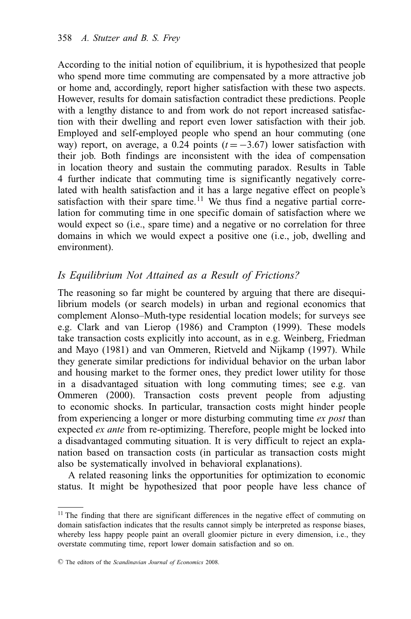According to the initial notion of equilibrium, it is hypothesized that people who spend more time commuting are compensated by a more attractive job or home and, accordingly, report higher satisfaction with these two aspects. However, results for domain satisfaction contradict these predictions. People with a lengthy distance to and from work do not report increased satisfaction with their dwelling and report even lower satisfaction with their job. Employed and self-employed people who spend an hour commuting (one way) report, on average, a 0.24 points  $(t = -3.67)$  lower satisfaction with their job. Both findings are inconsistent with the idea of compensation in location theory and sustain the commuting paradox. Results in Table 4 further indicate that commuting time is significantly negatively correlated with health satisfaction and it has a large negative effect on people's satisfaction with their spare time.<sup>11</sup> We thus find a negative partial correlation for commuting time in one specific domain of satisfaction where we would expect so (i.e., spare time) and a negative or no correlation for three domains in which we would expect a positive one (i.e., job, dwelling and environment).

# *Is Equilibrium Not Attained as a Result of Frictions?*

The reasoning so far might be countered by arguing that there are disequilibrium models (or search models) in urban and regional economics that complement Alonso–Muth-type residential location models; for surveys see e.g. Clark and van Lierop (1986) and Crampton (1999). These models take transaction costs explicitly into account, as in e.g. Weinberg, Friedman and Mayo (1981) and van Ommeren, Rietveld and Nijkamp (1997). While they generate similar predictions for individual behavior on the urban labor and housing market to the former ones, they predict lower utility for those in a disadvantaged situation with long commuting times; see e.g. van Ommeren (2000). Transaction costs prevent people from adjusting to economic shocks. In particular, transaction costs might hinder people from experiencing a longer or more disturbing commuting time *ex post* than expected *ex ante* from re-optimizing. Therefore, people might be locked into a disadvantaged commuting situation. It is very difficult to reject an explanation based on transaction costs (in particular as transaction costs might also be systematically involved in behavioral explanations).

A related reasoning links the opportunities for optimization to economic status. It might be hypothesized that poor people have less chance of

 $11$  The finding that there are significant differences in the negative effect of commuting on domain satisfaction indicates that the results cannot simply be interpreted as response biases, whereby less happy people paint an overall gloomier picture in every dimension, i.e., they overstate commuting time, report lower domain satisfaction and so on.

<sup>C</sup> The editors of the *Scandinavian Journal of Economics* 2008.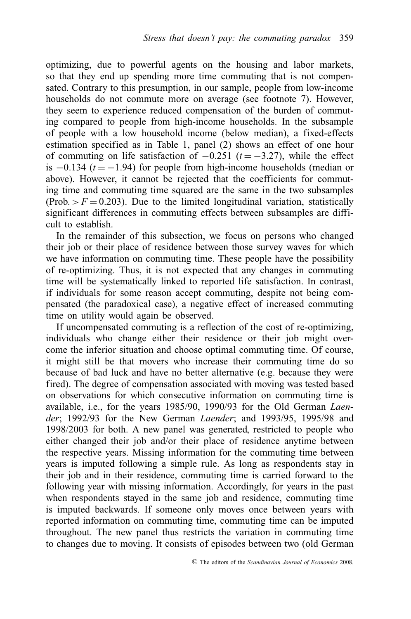optimizing, due to powerful agents on the housing and labor markets, so that they end up spending more time commuting that is not compensated. Contrary to this presumption, in our sample, people from low-income households do not commute more on average (see footnote 7). However, they seem to experience reduced compensation of the burden of commuting compared to people from high-income households. In the subsample of people with a low household income (below median), a fixed-effects estimation specified as in Table 1, panel (2) shows an effect of one hour of commuting on life satisfaction of −0.251 (*t* = −3.27), while the effect is −0.134 (*t* = −1.94) for people from high-income households (median or above). However, it cannot be rejected that the coefficients for commuting time and commuting time squared are the same in the two subsamples (Prob.  $\geq F = 0.203$ ). Due to the limited longitudinal variation, statistically significant differences in commuting effects between subsamples are difficult to establish.

In the remainder of this subsection, we focus on persons who changed their job or their place of residence between those survey waves for which we have information on commuting time. These people have the possibility of re-optimizing. Thus, it is not expected that any changes in commuting time will be systematically linked to reported life satisfaction. In contrast, if individuals for some reason accept commuting, despite not being compensated (the paradoxical case), a negative effect of increased commuting time on utility would again be observed.

If uncompensated commuting is a reflection of the cost of re-optimizing, individuals who change either their residence or their job might overcome the inferior situation and choose optimal commuting time. Of course, it might still be that movers who increase their commuting time do so because of bad luck and have no better alternative (e.g. because they were fired). The degree of compensation associated with moving was tested based on observations for which consecutive information on commuting time is available, i.e., for the years 1985/90, 1990/93 for the Old German *Laender*; 1992/93 for the New German *Laender*; and 1993/95, 1995/98 and 1998/2003 for both. A new panel was generated, restricted to people who either changed their job and/or their place of residence anytime between the respective years. Missing information for the commuting time between years is imputed following a simple rule. As long as respondents stay in their job and in their residence, commuting time is carried forward to the following year with missing information. Accordingly, for years in the past when respondents stayed in the same job and residence, commuting time is imputed backwards. If someone only moves once between years with reported information on commuting time, commuting time can be imputed throughout. The new panel thus restricts the variation in commuting time to changes due to moving. It consists of episodes between two (old German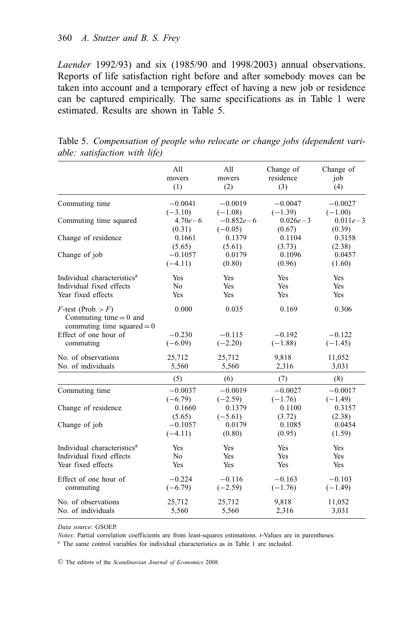*Laender* 1992/93) and six (1985/90 and 1998/2003) annual observations. Reports of life satisfaction right before and after somebody moves can be taken into account and a temporary effect of having a new job or residence can be captured empirically. The same specifications as in Table 1 were estimated. Results are shown in Table 5.

|                                                                                      | A11            | All         | Change of    | Change of  |
|--------------------------------------------------------------------------------------|----------------|-------------|--------------|------------|
|                                                                                      | movers         | movers      | residence    | job        |
|                                                                                      | (1)            | (2)         | (3)          | (4)        |
| Commuting time                                                                       | $-0.0041$      | $-0.0019$   | $-0.0047$    | $-0.0027$  |
|                                                                                      | $(-3.10)$      | $(-1.08)$   | $(-1.39)$    | $(-1.00)$  |
| Commuting time squared                                                               | $4.70e - 6$    | $-0.852e-6$ | $0.026e - 3$ | $0.011e-3$ |
|                                                                                      | (0.31)         | $(-0.05)$   | (0.67)       | (0.39)     |
| Change of residence                                                                  | 0.1661         | 0.1379      | 0.1104       | 0.3158     |
|                                                                                      | (5.65)         | (5.61)      | (3.73)       | (2.38)     |
| Change of job                                                                        | $-0.1057$      | 0.0179      | 0.1096       | 0.0457     |
|                                                                                      | $(-4.11)$      | (0.80)      | (0.96)       | (1.60)     |
| Individual characteristics <sup>a</sup>                                              | Yes            | Yes         | Yes          | Yes        |
| Individual fixed effects                                                             | N <sub>0</sub> | Yes         | Yes          | Yes        |
| Year fixed effects                                                                   | Yes            | Yes         | Yes          | Yes        |
| $F$ -test (Prob. > $F$ )<br>Commuting time $= 0$ and<br>commuting time squared $= 0$ | 0.000          | 0.035       | 0.169        | 0.306      |
| Effect of one hour of                                                                | $-0.230$       | $-0.115$    | $-0.192$     | $-0.122$   |
| commuting                                                                            | $(-6.09)$      | $(-2.20)$   | $(-1.88)$    | $(-1.45)$  |
| No. of observations                                                                  | 25,712         | 25,712      | 9,818        | 11,052     |
| No. of individuals                                                                   | 5,560          | 5,560       | 2,316        | 3,031      |
|                                                                                      | (5)            | (6)         | (7)          | (8)        |
| Commuting time                                                                       | $-0.0037$      | $-0.0019$   | $-0.0027$    | $-0.0017$  |
|                                                                                      | $(-6.79)$      | $(-2.59)$   | $(-1.76)$    | $(-1.49)$  |
| Change of residence                                                                  | 0.1660         | 0.1379      | 0.1100       | 0.3157     |
|                                                                                      | (5.65)         | $(-5.61)$   | (3.72)       | (2.38)     |
| Change of job                                                                        | $-0.1057$      | 0.0179      | 0.1085       | 0.0454     |
|                                                                                      | $(-4.11)$      | (0.80)      | (0.95)       | (1.59)     |
| Individual characteristics <sup>a</sup>                                              | Yes            | Yes         | Yes          | Yes        |
| Individual fixed effects                                                             | N <sub>0</sub> | Yes         | Yes          | Yes        |
| Year fixed effects                                                                   | Yes            | Yes         | Yes          | Yes        |
| Effect of one hour of                                                                | $-0.224$       | $-0.116$    | $-0.163$     | $-0.103$   |
| commuting                                                                            | $(-6.79)$      | $(-2.59)$   | $(-1.76)$    | $(-1.49)$  |
| No. of observations                                                                  | 25,712         | 25,712      | 9,818        | 11,052     |
| No. of individuals                                                                   | 5,560          | 5,560       | 2,316        | 3,031      |

Table 5. *Compensation of people who relocate or change jobs (dependent variable: satisfaction with life)*

*Data source*: GSOEP.

*Notes*: Partial correlation coefficients are from least-squares estimations. *t*-Values are in parentheses.

<sup>a</sup> The same control variables for individual characteristics as in Table 1 are included.

<sup>C</sup> The editors of the *Scandinavian Journal of Economics* 2008.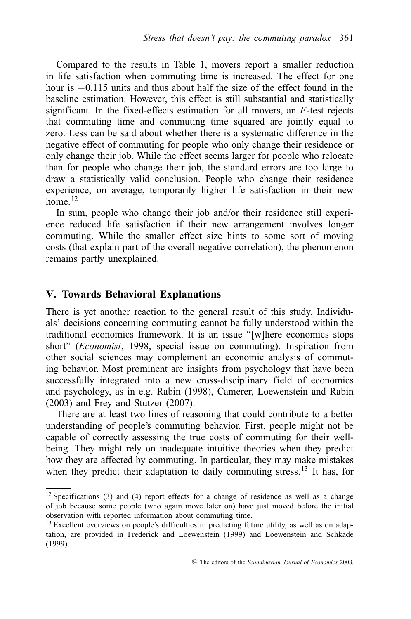Compared to the results in Table 1, movers report a smaller reduction in life satisfaction when commuting time is increased. The effect for one hour is −0.115 units and thus about half the size of the effect found in the baseline estimation. However, this effect is still substantial and statistically significant. In the fixed-effects estimation for all movers, an *F*-test rejects that commuting time and commuting time squared are jointly equal to zero. Less can be said about whether there is a systematic difference in the negative effect of commuting for people who only change their residence or only change their job. While the effect seems larger for people who relocate than for people who change their job, the standard errors are too large to draw a statistically valid conclusion. People who change their residence experience, on average, temporarily higher life satisfaction in their new home.<sup>12</sup>

In sum, people who change their job and/or their residence still experience reduced life satisfaction if their new arrangement involves longer commuting. While the smaller effect size hints to some sort of moving costs (that explain part of the overall negative correlation), the phenomenon remains partly unexplained.

#### **V. Towards Behavioral Explanations**

There is yet another reaction to the general result of this study. Individuals' decisions concerning commuting cannot be fully understood within the traditional economics framework. It is an issue "[w]here economics stops short" (*Economist*, 1998, special issue on commuting). Inspiration from other social sciences may complement an economic analysis of commuting behavior. Most prominent are insights from psychology that have been successfully integrated into a new cross-disciplinary field of economics and psychology, as in e.g. Rabin (1998), Camerer, Loewenstein and Rabin (2003) and Frey and Stutzer (2007).

There are at least two lines of reasoning that could contribute to a better understanding of people's commuting behavior. First, people might not be capable of correctly assessing the true costs of commuting for their wellbeing. They might rely on inadequate intuitive theories when they predict how they are affected by commuting. In particular, they may make mistakes when they predict their adaptation to daily commuting stress.<sup>13</sup> It has, for

 $12$  Specifications (3) and (4) report effects for a change of residence as well as a change of job because some people (who again move later on) have just moved before the initial observation with reported information about commuting time.

<sup>&</sup>lt;sup>13</sup> Excellent overviews on people's difficulties in predicting future utility, as well as on adaptation, are provided in Frederick and Loewenstein (1999) and Loewenstein and Schkade (1999).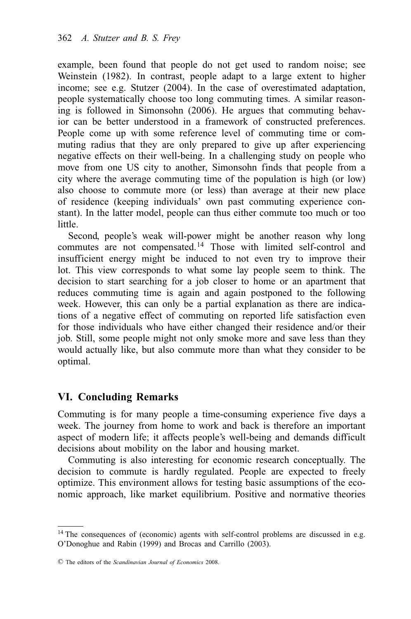example, been found that people do not get used to random noise; see Weinstein (1982). In contrast, people adapt to a large extent to higher income; see e.g. Stutzer (2004). In the case of overestimated adaptation, people systematically choose too long commuting times. A similar reasoning is followed in Simonsohn (2006). He argues that commuting behavior can be better understood in a framework of constructed preferences. People come up with some reference level of commuting time or commuting radius that they are only prepared to give up after experiencing negative effects on their well-being. In a challenging study on people who move from one US city to another, Simonsohn finds that people from a city where the average commuting time of the population is high (or low) also choose to commute more (or less) than average at their new place of residence (keeping individuals' own past commuting experience constant). In the latter model, people can thus either commute too much or too little.

Second, people's weak will-power might be another reason why long commutes are not compensated.<sup>14</sup> Those with limited self-control and insufficient energy might be induced to not even try to improve their lot. This view corresponds to what some lay people seem to think. The decision to start searching for a job closer to home or an apartment that reduces commuting time is again and again postponed to the following week. However, this can only be a partial explanation as there are indications of a negative effect of commuting on reported life satisfaction even for those individuals who have either changed their residence and/or their job. Still, some people might not only smoke more and save less than they would actually like, but also commute more than what they consider to be optimal.

# **VI. Concluding Remarks**

Commuting is for many people a time-consuming experience five days a week. The journey from home to work and back is therefore an important aspect of modern life; it affects people's well-being and demands difficult decisions about mobility on the labor and housing market.

Commuting is also interesting for economic research conceptually. The decision to commute is hardly regulated. People are expected to freely optimize. This environment allows for testing basic assumptions of the economic approach, like market equilibrium. Positive and normative theories

<sup>&</sup>lt;sup>14</sup> The consequences of (economic) agents with self-control problems are discussed in e.g. O'Donoghue and Rabin (1999) and Brocas and Carrillo (2003).

<sup>C</sup> The editors of the *Scandinavian Journal of Economics* 2008.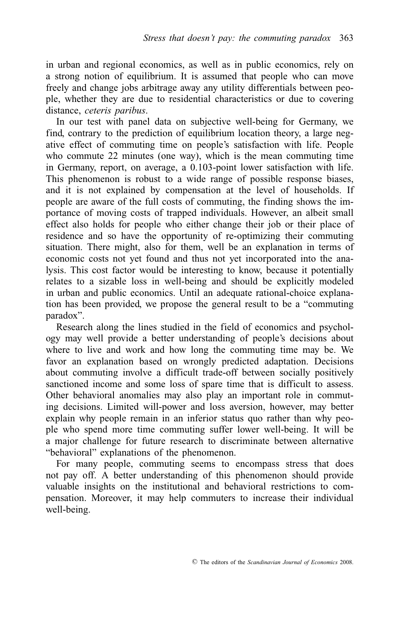in urban and regional economics, as well as in public economics, rely on a strong notion of equilibrium. It is assumed that people who can move freely and change jobs arbitrage away any utility differentials between people, whether they are due to residential characteristics or due to covering distance, *ceteris paribus*.

In our test with panel data on subjective well-being for Germany, we find, contrary to the prediction of equilibrium location theory, a large negative effect of commuting time on people's satisfaction with life. People who commute 22 minutes (one way), which is the mean commuting time in Germany, report, on average, a 0.103-point lower satisfaction with life. This phenomenon is robust to a wide range of possible response biases, and it is not explained by compensation at the level of households. If people are aware of the full costs of commuting, the finding shows the importance of moving costs of trapped individuals. However, an albeit small effect also holds for people who either change their job or their place of residence and so have the opportunity of re-optimizing their commuting situation. There might, also for them, well be an explanation in terms of economic costs not yet found and thus not yet incorporated into the analysis. This cost factor would be interesting to know, because it potentially relates to a sizable loss in well-being and should be explicitly modeled in urban and public economics. Until an adequate rational-choice explanation has been provided, we propose the general result to be a "commuting paradox".

Research along the lines studied in the field of economics and psychology may well provide a better understanding of people's decisions about where to live and work and how long the commuting time may be. We favor an explanation based on wrongly predicted adaptation. Decisions about commuting involve a difficult trade-off between socially positively sanctioned income and some loss of spare time that is difficult to assess. Other behavioral anomalies may also play an important role in commuting decisions. Limited will-power and loss aversion, however, may better explain why people remain in an inferior status quo rather than why people who spend more time commuting suffer lower well-being. It will be a major challenge for future research to discriminate between alternative "behavioral" explanations of the phenomenon.

For many people, commuting seems to encompass stress that does not pay off. A better understanding of this phenomenon should provide valuable insights on the institutional and behavioral restrictions to compensation. Moreover, it may help commuters to increase their individual well-being.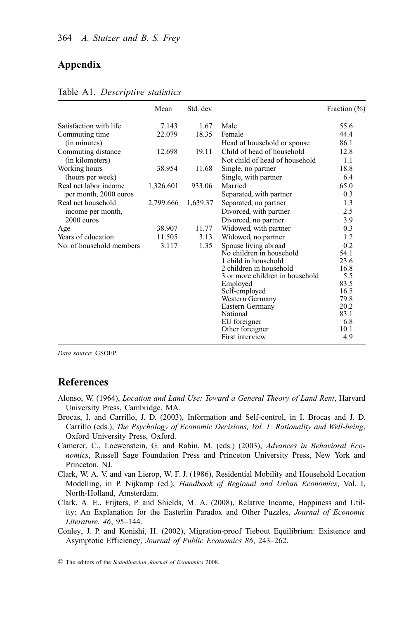## **Appendix**

|                          | Mean      | Std. dev. |                                             | Fraction $(\% )$ |
|--------------------------|-----------|-----------|---------------------------------------------|------------------|
| Satisfaction with life   | 7.143     | 1.67      | Male                                        | 55.6             |
| Commuting time           | 22.079    | 18.35     | Female                                      | 44.4             |
| (in minutes)             |           |           | Head of household or spouse                 | 86.1             |
| Commuting distance       | 12.698    | 19.11     | Child of head of household                  | 12.8             |
| (in kilometers)          |           |           | Not child of head of household              | 1.1              |
| Working hours            | 38.954    | 11.68     | Single, no partner                          | 18.8             |
| (hours per week)         |           |           | Single, with partner                        | 6.4              |
| Real net labor income    | 1,326.601 | 933.06    | Married                                     | 65.0             |
| per month, 2000 euros    |           |           | Separated, with partner                     | 0.3              |
| Real net household       | 2,799.666 | 1,639.37  | Separated, no partner                       | 1.3              |
| income per month,        |           |           | Divorced, with partner                      | 2.5              |
| $2000$ euros             |           |           | Divorced, no partner                        | 3.9              |
| Age                      | 38.907    | 11.77     | Widowed, with partner                       | 0.3              |
| Years of education       | 11.505    | 3.13      | Widowed, no partner                         | 1.2              |
| No. of household members | 3.117     | 1.35      | Spouse living abroad                        | 0.2              |
|                          |           |           | No children in household                    | 54.1             |
|                          |           |           | 1 child in household                        | 23.6             |
|                          |           |           | 2 children in household                     | 16.8             |
|                          |           |           | 3 or more children in household<br>Employed | 5.5<br>83.5      |
|                          |           |           | Self-employed                               | 16.5             |
|                          |           |           | Western Germany                             | 79.8             |
|                          |           |           | Eastern Germany                             | 20.2             |
|                          |           |           | National                                    | 83.1             |
|                          |           |           | EU foreigner                                | 6.8              |
|                          |           |           | Other foreigner<br>First interview          | 10.1<br>4.9      |

| Table A1. Descriptive statistics |  |
|----------------------------------|--|
|----------------------------------|--|

*Data source*: GSOEP.

#### **References**

- Alonso, W. (1964), *Location and Land Use: Toward a General Theory of Land Rent*, Harvard University Press, Cambridge, MA.
- Brocas, I. and Carrillo, J. D. (2003), Information and Self-control, in I. Brocas and J. D. Carrillo (eds.), *The Psychology of Economic Decisions, Vol. 1: Rationality and Well-being*, Oxford University Press, Oxford.
- Camerer, C., Loewenstein, G. and Rabin, M. (eds.) (2003), *Advances in Behavioral Economics*, Russell Sage Foundation Press and Princeton University Press, New York and Princeton, NJ.
- Clark, W. A. V. and van Lierop, W. F. J. (1986), Residential Mobility and Household Location Modelling, in P. Nijkamp (ed.), *Handbook of Regional and Urban Economics*, Vol. I, North-Holland, Amsterdam.
- Clark, A. E., Frijters, P. and Shields, M. A. (2008), Relative Income, Happiness and Utility: An Explanation for the Easterlin Paradox and Other Puzzles, *Journal of Economic Literature. 46*, 95–144.
- Conley, J. P. and Konishi, H. (2002), Migration-proof Tiebout Equilibrium: Existence and Asymptotic Efficiency, *Journal of Public Economics 86*, 243–262.

<sup>C</sup> The editors of the *Scandinavian Journal of Economics* 2008.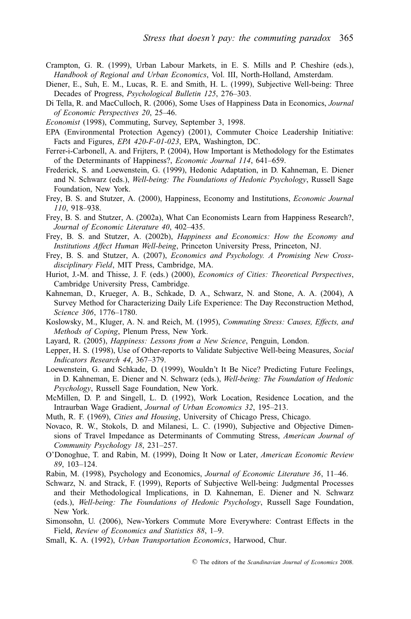- Crampton, G. R. (1999), Urban Labour Markets, in E. S. Mills and P. Cheshire (eds.), *Handbook of Regional and Urban Economics*, Vol. III, North-Holland, Amsterdam.
- Diener, E., Suh, E. M., Lucas, R. E. and Smith, H. L. (1999), Subjective Well-being: Three Decades of Progress, *Psychological Bulletin 125*, 276–303.
- Di Tella, R. and MacCulloch, R. (2006), Some Uses of Happiness Data in Economics, *Journal of Economic Perspectives 20*, 25–46.
- *Economist* (1998), Commuting, Survey, September 3, 1998.
- EPA (Environmental Protection Agency) (2001), Commuter Choice Leadership Initiative: Facts and Figures, *EPA 420-F-01-023*, EPA, Washington, DC.
- Ferrer-i-Carbonell, A. and Frijters, P. (2004), How Important is Methodology for the Estimates of the Determinants of Happiness?, *Economic Journal 114*, 641–659.
- Frederick, S. and Loewenstein, G. (1999), Hedonic Adaptation, in D. Kahneman, E. Diener and N. Schwarz (eds.), *Well-being: The Foundations of Hedonic Psychology*, Russell Sage Foundation, New York.
- Frey, B. S. and Stutzer, A. (2000), Happiness, Economy and Institutions, *Economic Journal 110*, 918–938.
- Frey, B. S. and Stutzer, A. (2002a), What Can Economists Learn from Happiness Research?, *Journal of Economic Literature 40*, 402–435.
- Frey, B. S. and Stutzer, A. (2002b), *Happiness and Economics: How the Economy and Institutions Affect Human Well-being*, Princeton University Press, Princeton, NJ.
- Frey, B. S. and Stutzer, A. (2007), *Economics and Psychology. A Promising New Crossdisciplinary Field*, MIT Press, Cambridge, MA.
- Huriot, J.-M. and Thisse, J. F. (eds.) (2000), *Economics of Cities: Theoretical Perspectives*, Cambridge University Press, Cambridge.
- Kahneman, D., Krueger, A. B., Schkade, D. A., Schwarz, N. and Stone, A. A. (2004), A Survey Method for Characterizing Daily Life Experience: The Day Reconstruction Method, *Science 306*, 1776–1780.
- Koslowsky, M., Kluger, A. N. and Reich, M. (1995), *Commuting Stress: Causes, Effects, and Methods of Coping*, Plenum Press, New York.
- Layard, R. (2005), *Happiness: Lessons from a New Science*, Penguin, London.
- Lepper, H. S. (1998), Use of Other-reports to Validate Subjective Well-being Measures, *Social Indicators Research 44*, 367–379.
- Loewenstein, G. and Schkade, D. (1999), Wouldn't It Be Nice? Predicting Future Feelings, in D. Kahneman, E. Diener and N. Schwarz (eds.), *Well-being: The Foundation of Hedonic Psychology*, Russell Sage Foundation, New York.
- McMillen, D. P. and Singell, L. D. (1992), Work Location, Residence Location, and the Intraurban Wage Gradient, *Journal of Urban Economics 32*, 195–213.
- Muth, R. F. (1969), *Cities and Housing*, University of Chicago Press, Chicago.
- Novaco, R. W., Stokols, D. and Milanesi, L. C. (1990), Subjective and Objective Dimensions of Travel Impedance as Determinants of Commuting Stress, *American Journal of Community Psychology 18*, 231–257.
- O'Donoghue, T. and Rabin, M. (1999), Doing It Now or Later, *American Economic Review 89*, 103–124.
- Rabin, M. (1998), Psychology and Economics, *Journal of Economic Literature 36*, 11–46.
- Schwarz, N. and Strack, F. (1999), Reports of Subjective Well-being: Judgmental Processes and their Methodological Implications, in D. Kahneman, E. Diener and N. Schwarz (eds.), *Well-being: The Foundations of Hedonic Psychology*, Russell Sage Foundation, New York.
- Simonsohn, U. (2006), New-Yorkers Commute More Everywhere: Contrast Effects in the Field, *Review of Economics and Statistics 88*, 1–9.
- Small, K. A. (1992), *Urban Transportation Economics*, Harwood, Chur.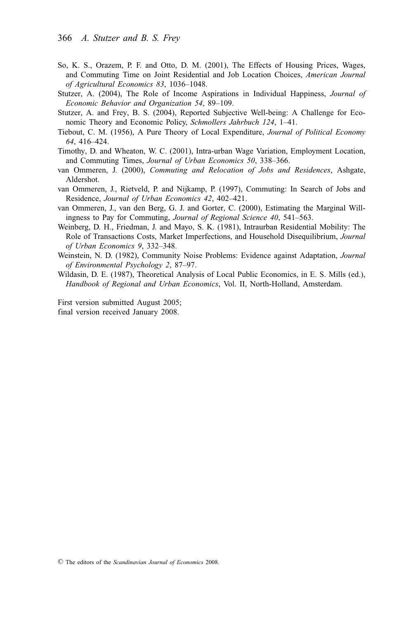- So, K. S., Orazem, P. F. and Otto, D. M. (2001), The Effects of Housing Prices, Wages, and Commuting Time on Joint Residential and Job Location Choices, *American Journal of Agricultural Economics 83*, 1036–1048.
- Stutzer, A. (2004), The Role of Income Aspirations in Individual Happiness, *Journal of Economic Behavior and Organization 54*, 89–109.
- Stutzer, A. and Frey, B. S. (2004), Reported Subjective Well-being: A Challenge for Economic Theory and Economic Policy, *Schmollers Jahrbuch 124*, 1–41.
- Tiebout, C. M. (1956), A Pure Theory of Local Expenditure, *Journal of Political Economy 64*, 416–424.
- Timothy, D. and Wheaton, W. C. (2001), Intra-urban Wage Variation, Employment Location, and Commuting Times, *Journal of Urban Economics 50*, 338–366.
- van Ommeren, J. (2000), *Commuting and Relocation of Jobs and Residences*, Ashgate, Aldershot.
- van Ommeren, J., Rietveld, P. and Nijkamp, P. (1997), Commuting: In Search of Jobs and Residence, *Journal of Urban Economics 42*, 402–421.
- van Ommeren, J., van den Berg, G. J. and Gorter, C. (2000), Estimating the Marginal Willingness to Pay for Commuting, *Journal of Regional Science 40*, 541–563.
- Weinberg, D. H., Friedman, J. and Mayo, S. K. (1981), Intraurban Residential Mobility: The Role of Transactions Costs, Market Imperfections, and Household Disequilibrium, *Journal of Urban Economics 9*, 332–348.
- Weinstein, N. D. (1982), Community Noise Problems: Evidence against Adaptation, *Journal of Environmental Psychology 2*, 87–97.
- Wildasin, D. E. (1987), Theoretical Analysis of Local Public Economics, in E. S. Mills (ed.), *Handbook of Regional and Urban Economics*, Vol. II, North-Holland, Amsterdam.

First version submitted August 2005; final version received January 2008.